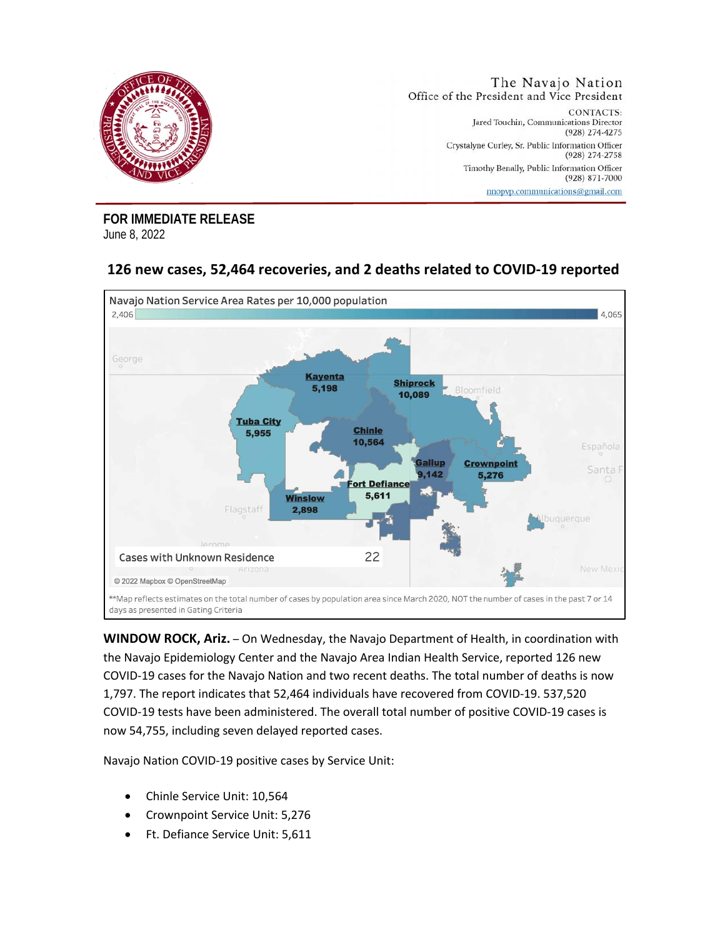

**FOR IMMEDIATE RELEASE**  June 8, 2022

## **126 new cases, 52,464 recoveries, and 2 deaths related to COVID-19 reported**



**WINDOW ROCK, Ariz.** – On Wednesday, the Navajo Department of Health, in coordination with the Navajo Epidemiology Center and the Navajo Area Indian Health Service, reported 126 new COVID-19 cases for the Navajo Nation and two recent deaths. The total number of deaths is now 1,797. The report indicates that 52,464 individuals have recovered from COVID-19. 537,520 COVID-19 tests have been administered. The overall total number of positive COVID-19 cases is now 54,755, including seven delayed reported cases.

Navajo Nation COVID-19 positive cases by Service Unit:

- Chinle Service Unit: 10,564
- Crownpoint Service Unit: 5,276
- Ft. Defiance Service Unit: 5,611